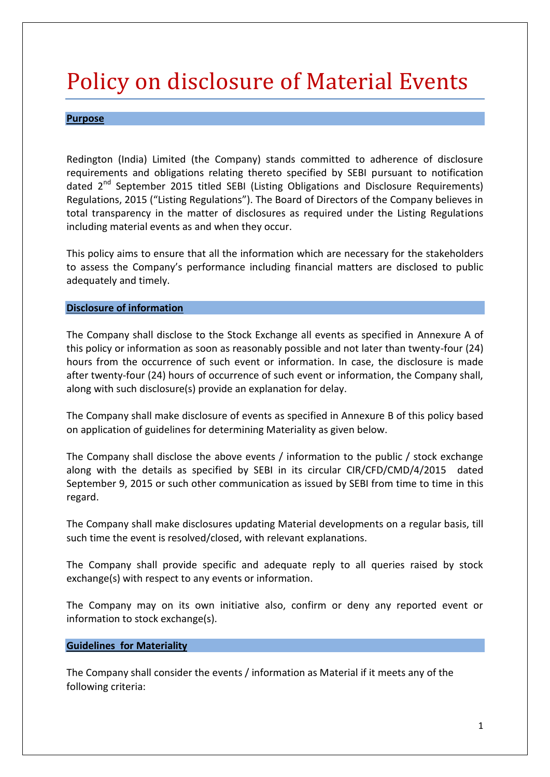# Policy on disclosure of Material Events

## **Purpose**

Redington (India) Limited (the Company) stands committed to adherence of disclosure requirements and obligations relating thereto specified by SEBI pursuant to notification dated 2<sup>nd</sup> September 2015 titled SEBI (Listing Obligations and Disclosure Requirements) Regulations, 2015 ("Listing Regulations"). The Board of Directors of the Company believes in total transparency in the matter of disclosures as required under the Listing Regulations including material events as and when they occur.

This policy aims to ensure that all the information which are necessary for the stakeholders to assess the Company's performance including financial matters are disclosed to public adequately and timely.

## **Disclosure of information**

The Company shall disclose to the Stock Exchange all events as specified in Annexure A of this policy or information as soon as reasonably possible and not later than twenty-four (24) hours from the occurrence of such event or information. In case, the disclosure is made after twenty-four (24) hours of occurrence of such event or information, the Company shall, along with such disclosure(s) provide an explanation for delay.

The Company shall make disclosure of events as specified in Annexure B of this policy based on application of guidelines for determining Materiality as given below.

The Company shall disclose the above events / information to the public / stock exchange along with the details as specified by SEBI in its circular CIR/CFD/CMD/4/2015 dated September 9, 2015 or such other communication as issued by SEBI from time to time in this regard.

The Company shall make disclosures updating Material developments on a regular basis, till such time the event is resolved/closed, with relevant explanations.

The Company shall provide specific and adequate reply to all queries raised by stock exchange(s) with respect to any events or information.

The Company may on its own initiative also, confirm or deny any reported event or information to stock exchange(s).

#### **Guidelines for Materiality**

The Company shall consider the events / information as Material if it meets any of the following criteria: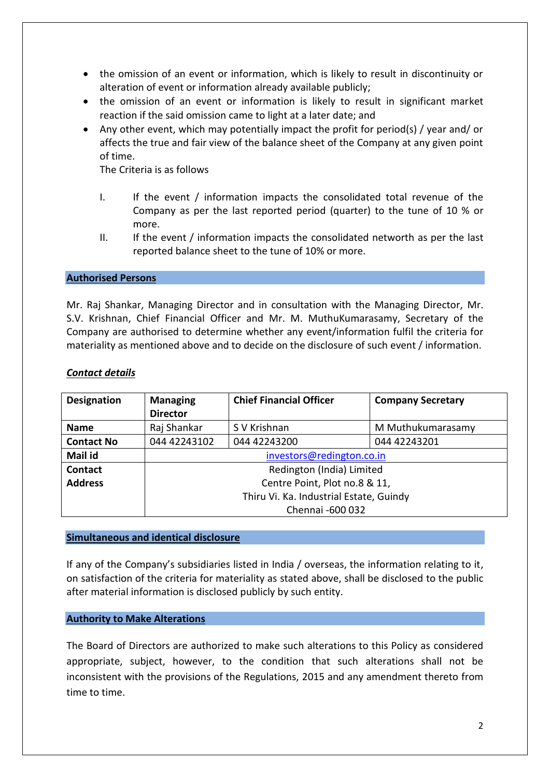- the omission of an event or information, which is likely to result in discontinuity or alteration of event or information already available publicly;
- the omission of an event or information is likely to result in significant market reaction if the said omission came to light at a later date; and
- Any other event, which may potentially impact the profit for period(s) / year and/ or affects the true and fair view of the balance sheet of the Company at any given point of time.

The Criteria is as follows

- I. If the event / information impacts the consolidated total revenue of the Company as per the last reported period (quarter) to the tune of 10 % or more.
- II. If the event / information impacts the consolidated networth as per the last reported balance sheet to the tune of 10% or more.

## **Authorised Persons**

Mr. Raj Shankar, Managing Director and in consultation with the Managing Director, Mr. S.V. Krishnan, Chief Financial Officer and Mr. M. MuthuKumarasamy, Secretary of the Company are authorised to determine whether any event/information fulfil the criteria for materiality as mentioned above and to decide on the disclosure of such event / information.

## *Contact details*

| <b>Designation</b> | <b>Managing</b>                         | <b>Chief Financial Officer</b> | <b>Company Secretary</b> |
|--------------------|-----------------------------------------|--------------------------------|--------------------------|
|                    | <b>Director</b>                         |                                |                          |
| <b>Name</b>        | Raj Shankar                             | S V Krishnan                   | M Muthukumarasamy        |
| <b>Contact No</b>  | 044 42243102                            | 044 42243200                   | 044 42243201             |
| Mail id            | investors@redington.co.in               |                                |                          |
| <b>Contact</b>     | Redington (India) Limited               |                                |                          |
| <b>Address</b>     | Centre Point, Plot no.8 & 11,           |                                |                          |
|                    | Thiru Vi. Ka. Industrial Estate, Guindy |                                |                          |
|                    | Chennai -600 032                        |                                |                          |

#### **Simultaneous and identical disclosure**

If any of the Company's subsidiaries listed in India / overseas, the information relating to it, on satisfaction of the criteria for materiality as stated above, shall be disclosed to the public after material information is disclosed publicly by such entity.

#### **Authority to Make Alterations**

The Board of Directors are authorized to make such alterations to this Policy as considered appropriate, subject, however, to the condition that such alterations shall not be inconsistent with the provisions of the Regulations, 2015 and any amendment thereto from time to time.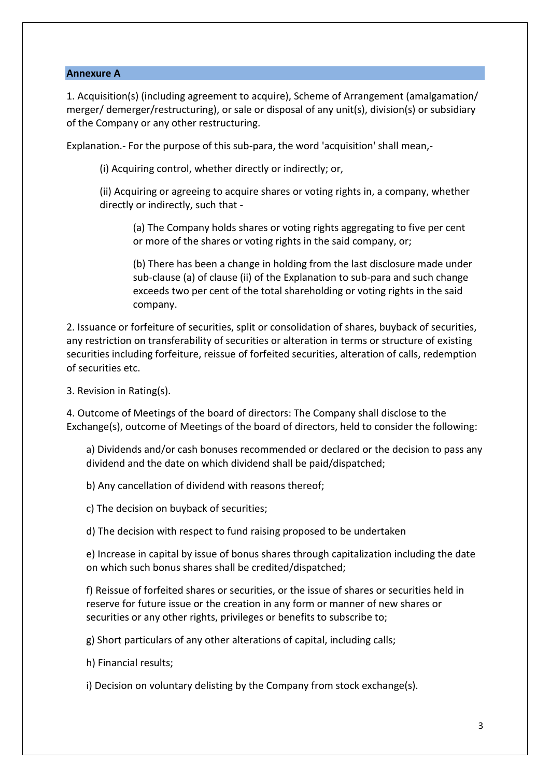## **Annexure A**

1. Acquisition(s) (including agreement to acquire), Scheme of Arrangement (amalgamation/ merger/ demerger/restructuring), or sale or disposal of any unit(s), division(s) or subsidiary of the Company or any other restructuring.

Explanation.- For the purpose of this sub-para, the word 'acquisition' shall mean,-

(i) Acquiring control, whether directly or indirectly; or,

(ii) Acquiring or agreeing to acquire shares or voting rights in, a company, whether directly or indirectly, such that -

(a) The Company holds shares or voting rights aggregating to five per cent or more of the shares or voting rights in the said company, or;

(b) There has been a change in holding from the last disclosure made under sub-clause (a) of clause (ii) of the Explanation to sub-para and such change exceeds two per cent of the total shareholding or voting rights in the said company.

2. Issuance or forfeiture of securities, split or consolidation of shares, buyback of securities, any restriction on transferability of securities or alteration in terms or structure of existing securities including forfeiture, reissue of forfeited securities, alteration of calls, redemption of securities etc.

3. Revision in Rating(s).

4. Outcome of Meetings of the board of directors: The Company shall disclose to the Exchange(s), outcome of Meetings of the board of directors, held to consider the following:

a) Dividends and/or cash bonuses recommended or declared or the decision to pass any dividend and the date on which dividend shall be paid/dispatched;

b) Any cancellation of dividend with reasons thereof;

c) The decision on buyback of securities;

d) The decision with respect to fund raising proposed to be undertaken

e) Increase in capital by issue of bonus shares through capitalization including the date on which such bonus shares shall be credited/dispatched;

f) Reissue of forfeited shares or securities, or the issue of shares or securities held in reserve for future issue or the creation in any form or manner of new shares or securities or any other rights, privileges or benefits to subscribe to;

g) Short particulars of any other alterations of capital, including calls;

h) Financial results;

i) Decision on voluntary delisting by the Company from stock exchange(s).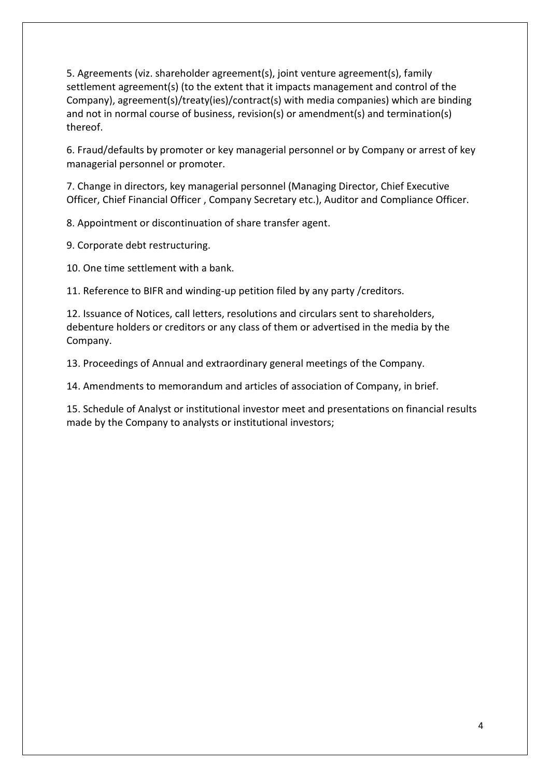5. Agreements (viz. shareholder agreement(s), joint venture agreement(s), family settlement agreement(s) (to the extent that it impacts management and control of the Company), agreement(s)/treaty(ies)/contract(s) with media companies) which are binding and not in normal course of business, revision(s) or amendment(s) and termination(s) thereof.

6. Fraud/defaults by promoter or key managerial personnel or by Company or arrest of key managerial personnel or promoter.

7. Change in directors, key managerial personnel (Managing Director, Chief Executive Officer, Chief Financial Officer , Company Secretary etc.), Auditor and Compliance Officer.

8. Appointment or discontinuation of share transfer agent.

9. Corporate debt restructuring.

10. One time settlement with a bank.

11. Reference to BIFR and winding-up petition filed by any party /creditors.

12. Issuance of Notices, call letters, resolutions and circulars sent to shareholders, debenture holders or creditors or any class of them or advertised in the media by the Company.

13. Proceedings of Annual and extraordinary general meetings of the Company.

14. Amendments to memorandum and articles of association of Company, in brief.

15. Schedule of Analyst or institutional investor meet and presentations on financial results made by the Company to analysts or institutional investors;